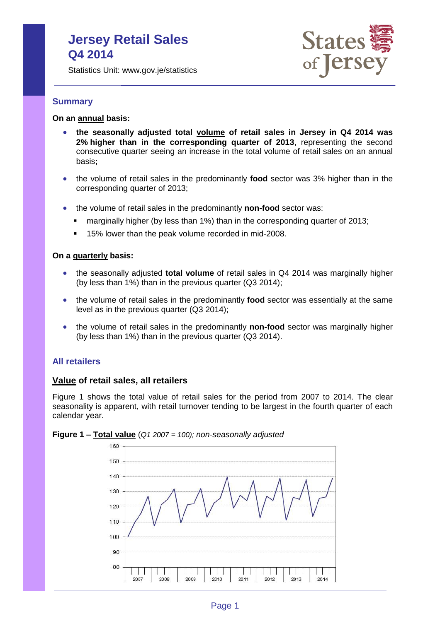# **Jersey Retail Sales Q4 2014**

Statistics Unit: www.gov.je/statistics



# **Summary**

# **On an annual basis:**

- **the seasonally adjusted total volume of retail sales in Jersey in Q4 2014 was 2% higher than in the corresponding quarter of 2013**, representing the second consecutive quarter seeing an increase in the total volume of retail sales on an annual basis**;**
- the volume of retail sales in the predominantly **food** sector was 3% higher than in the corresponding quarter of 2013;
- the volume of retail sales in the predominantly **non-food** sector was:
	- **Example 1** marginally higher (by less than 1%) than in the corresponding quarter of 2013;
	- 15% lower than the peak volume recorded in mid-2008.

#### **On a quarterly basis:**

- the seasonally adjusted **total volume** of retail sales in Q4 2014 was marginally higher (by less than 1%) than in the previous quarter (Q3 2014);
- the volume of retail sales in the predominantly **food** sector was essentially at the same level as in the previous quarter (Q3 2014);
- the volume of retail sales in the predominantly **non-food** sector was marginally higher (by less than 1%) than in the previous quarter (Q3 2014).

# **All retailers**

# **Value of retail sales, all retailers**

Figure 1 shows the total value of retail sales for the period from 2007 to 2014. The clear seasonality is apparent, with retail turnover tending to be largest in the fourth quarter of each calendar year.



**Figure 1 – Total value** (*Q1 2007 = 100); non-seasonally adjusted*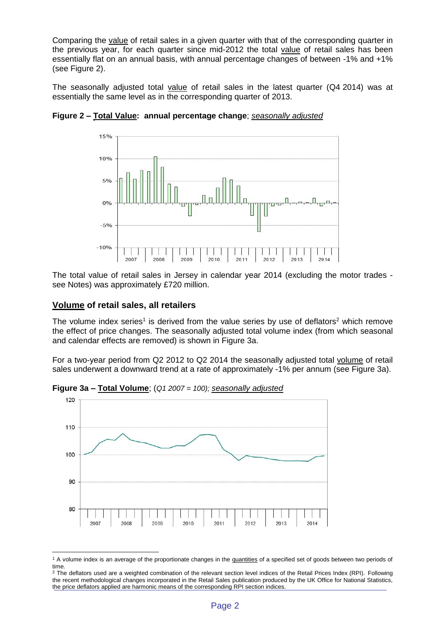Comparing the value of retail sales in a given quarter with that of the corresponding quarter in the previous year, for each quarter since mid-2012 the total value of retail sales has been essentially flat on an annual basis, with annual percentage changes of between -1% and +1% (see Figure 2).

The seasonally adjusted total value of retail sales in the latest quarter (Q4 2014) was at essentially the same level as in the corresponding quarter of 2013.



**Figure 2 – Total Value: annual percentage change**; *seasonally adjusted*

The total value of retail sales in Jersey in calendar year 2014 (excluding the motor trades see Notes) was approximately £720 million.

### **Volume of retail sales, all retailers**

 $\overline{a}$ 

The volume index series<sup>1</sup> is derived from the value series by use of deflators<sup>2</sup> which remove the effect of price changes. The seasonally adjusted total volume index (from which seasonal and calendar effects are removed) is shown in Figure 3a.

For a two-year period from Q2 2012 to Q2 2014 the seasonally adjusted total volume of retail sales underwent a downward trend at a rate of approximately -1% per annum (see Figure 3a).



**Figure 3a – Total Volume**; (*Q1 2007 = 100); seasonally adjusted*

<sup>&</sup>lt;sup>1</sup> A volume index is an average of the proportionate changes in the quantities of a specified set of goods between two periods of time.

<sup>&</sup>lt;sup>2</sup> The deflators used are a weighted combination of the relevant section level indices of the Retail Prices Index (RPI). Following the recent methodological changes incorporated in the Retail Sales publication produced by the UK Office for National Statistics, the price deflators applied are harmonic means of the corresponding RPI section indices.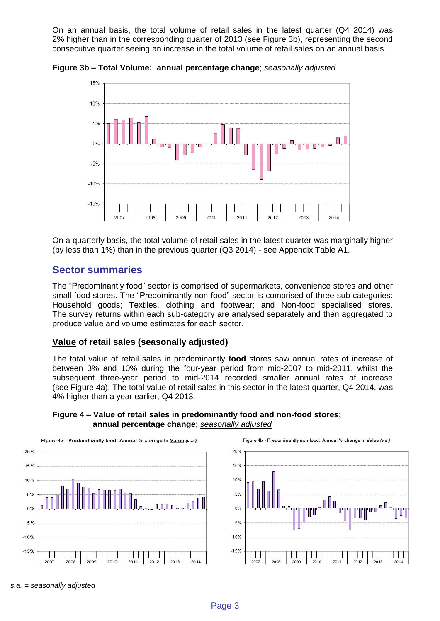On an annual basis, the total volume of retail sales in the latest quarter (Q4 2014) was 2% higher than in the corresponding quarter of 2013 (see Figure 3b), representing the second consecutive quarter seeing an increase in the total volume of retail sales on an annual basis.

15% 10% 5%  $0%$  $-5%$  $-10%$  $-15%$ 2007 2008 2009 2010 2011 2012 2013 2014

**Figure 3b – Total Volume: annual percentage change**; *seasonally adjusted*

On a quarterly basis, the total volume of retail sales in the latest quarter was marginally higher (by less than 1%) than in the previous quarter (Q3 2014) - see Appendix Table A1.

# **Sector summaries**

The "Predominantly food" sector is comprised of supermarkets, convenience stores and other small food stores. The "Predominantly non-food" sector is comprised of three sub-categories: Household goods; Textiles, clothing and footwear; and Non-food specialised stores. The survey returns within each sub-category are analysed separately and then aggregated to produce value and volume estimates for each sector.

# **Value of retail sales (seasonally adjusted)**

The total value of retail sales in predominantly **food** stores saw annual rates of increase of between 3% and 10% during the four-year period from mid-2007 to mid-2011, whilst the subsequent three-year period to mid-2014 recorded smaller annual rates of increase (see Figure 4a). The total value of retail sales in this sector in the latest quarter, Q4 2014, was 4% higher than a year earlier, Q4 2013.



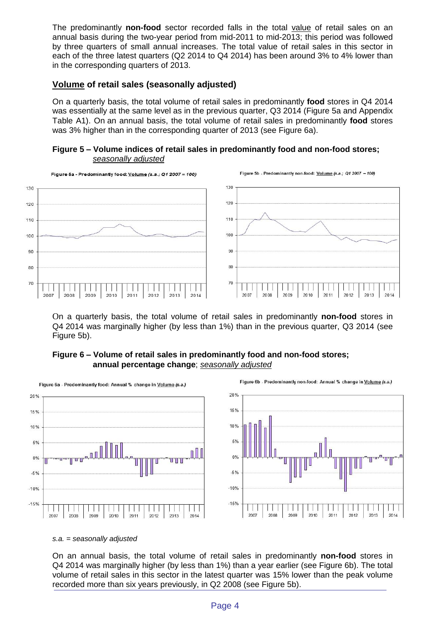The predominantly **non-food** sector recorded falls in the total value of retail sales on an annual basis during the two-year period from mid-2011 to mid-2013; this period was followed by three quarters of small annual increases. The total value of retail sales in this sector in each of the three latest quarters (Q2 2014 to Q4 2014) has been around 3% to 4% lower than in the corresponding quarters of 2013.

# **Volume of retail sales (seasonally adjusted)**

On a quarterly basis, the total volume of retail sales in predominantly **food** stores in Q4 2014 was essentially at the same level as in the previous quarter, Q3 2014 (Figure 5a and Appendix Table A1). On an annual basis, the total volume of retail sales in predominantly **food** stores was 3% higher than in the corresponding quarter of 2013 (see Figure 6a).

# **Figure 5 – Volume indices of retail sales in predominantly food and non-food stores;** *seasonally adjusted*



On a quarterly basis, the total volume of retail sales in predominantly **non-food** stores in Q4 2014 was marginally higher (by less than 1%) than in the previous quarter, Q3 2014 (see Figure 5b).

# **Figure 6 – Volume of retail sales in predominantly food and non-food stores; annual percentage change**; *seasonally adjusted*



#### *s.a. = seasonally adjusted*

On an annual basis, the total volume of retail sales in predominantly **non-food** stores in Q4 2014 was marginally higher (by less than 1%) than a year earlier (see Figure 6b). The total volume of retail sales in this sector in the latest quarter was 15% lower than the peak volume recorded more than six years previously, in Q2 2008 (see Figure 5b).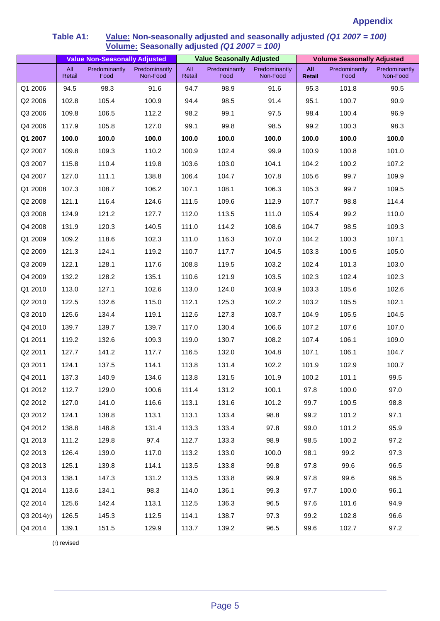# **Appendix**

|            | <b>Value Non-Seasonally Adjusted</b> |                       |                           | <b>Value Seasonally Adjusted</b> |                       |                           | <b>Volume Seasonally Adjusted</b> |                       |                           |
|------------|--------------------------------------|-----------------------|---------------------------|----------------------------------|-----------------------|---------------------------|-----------------------------------|-----------------------|---------------------------|
|            | All<br>Retail                        | Predominantly<br>Food | Predominantly<br>Non-Food | All<br>Retail                    | Predominantly<br>Food | Predominantly<br>Non-Food | All<br><b>Retail</b>              | Predominantly<br>Food | Predominantly<br>Non-Food |
| Q1 2006    | 94.5                                 | 98.3                  | 91.6                      | 94.7                             | 98.9                  | 91.6                      | 95.3                              | 101.8                 | 90.5                      |
| Q2 2006    | 102.8                                | 105.4                 | 100.9                     | 94.4                             | 98.5                  | 91.4                      | 95.1                              | 100.7                 | 90.9                      |
| Q3 2006    | 109.8                                | 106.5                 | 112.2                     | 98.2                             | 99.1                  | 97.5                      | 98.4                              | 100.4                 | 96.9                      |
| Q4 2006    | 117.9                                | 105.8                 | 127.0                     | 99.1                             | 99.8                  | 98.5                      | 99.2                              | 100.3                 | 98.3                      |
| Q1 2007    | 100.0                                | 100.0                 | 100.0                     | 100.0                            | 100.0                 | 100.0                     | 100.0                             | 100.0                 | 100.0                     |
| Q2 2007    | 109.8                                | 109.3                 | 110.2                     | 100.9                            | 102.4                 | 99.9                      | 100.9                             | 100.8                 | 101.0                     |
| Q3 2007    | 115.8                                | 110.4                 | 119.8                     | 103.6                            | 103.0                 | 104.1                     | 104.2                             | 100.2                 | 107.2                     |
| Q4 2007    | 127.0                                | 111.1                 | 138.8                     | 106.4                            | 104.7                 | 107.8                     | 105.6                             | 99.7                  | 109.9                     |
| Q1 2008    | 107.3                                | 108.7                 | 106.2                     | 107.1                            | 108.1                 | 106.3                     | 105.3                             | 99.7                  | 109.5                     |
| Q2 2008    | 121.1                                | 116.4                 | 124.6                     | 111.5                            | 109.6                 | 112.9                     | 107.7                             | 98.8                  | 114.4                     |
| Q3 2008    | 124.9                                | 121.2                 | 127.7                     | 112.0                            | 113.5                 | 111.0                     | 105.4                             | 99.2                  | 110.0                     |
| Q4 2008    | 131.9                                | 120.3                 | 140.5                     | 111.0                            | 114.2                 | 108.6                     | 104.7                             | 98.5                  | 109.3                     |
| Q1 2009    | 109.2                                | 118.6                 | 102.3                     | 111.0                            | 116.3                 | 107.0                     | 104.2                             | 100.3                 | 107.1                     |
| Q2 2009    | 121.3                                | 124.1                 | 119.2                     | 110.7                            | 117.7                 | 104.5                     | 103.3                             | 100.5                 | 105.0                     |
| Q3 2009    | 122.1                                | 128.1                 | 117.6                     | 108.8                            | 119.5                 | 103.2                     | 102.4                             | 101.3                 | 103.0                     |
| Q4 2009    | 132.2                                | 128.2                 | 135.1                     | 110.6                            | 121.9                 | 103.5                     | 102.3                             | 102.4                 | 102.3                     |
| Q1 2010    | 113.0                                | 127.1                 | 102.6                     | 113.0                            | 124.0                 | 103.9                     | 103.3                             | 105.6                 | 102.6                     |
| Q2 2010    | 122.5                                | 132.6                 | 115.0                     | 112.1                            | 125.3                 | 102.2                     | 103.2                             | 105.5                 | 102.1                     |
| Q3 2010    | 125.6                                | 134.4                 | 119.1                     | 112.6                            | 127.3                 | 103.7                     | 104.9                             | 105.5                 | 104.5                     |
| Q4 2010    | 139.7                                | 139.7                 | 139.7                     | 117.0                            | 130.4                 | 106.6                     | 107.2                             | 107.6                 | 107.0                     |
| Q1 2011    | 119.2                                | 132.6                 | 109.3                     | 119.0                            | 130.7                 | 108.2                     | 107.4                             | 106.1                 | 109.0                     |
| Q2 2011    | 127.7                                | 141.2                 | 117.7                     | 116.5                            | 132.0                 | 104.8                     | 107.1                             | 106.1                 | 104.7                     |
| Q3 2011    | 124.1                                | 137.5                 | 114.1                     | 113.8                            | 131.4                 | 102.2                     | 101.9                             | 102.9                 | 100.7                     |
| Q4 2011    | 137.3                                | 140.9                 | 134.6                     | 113.8                            | 131.5                 | 101.9                     | 100.2                             | 101.1                 | 99.5                      |
| Q1 2012    | 112.7                                | 129.0                 | 100.6                     | 111.4                            | 131.2                 | 100.1                     | 97.8                              | 100.0                 | 97.0                      |
| Q2 2012    | 127.0                                | 141.0                 | 116.6                     | 113.1                            | 131.6                 | 101.2                     | 99.7                              | 100.5                 | 98.8                      |
| Q3 2012    | 124.1                                | 138.8                 | 113.1                     | 113.1                            | 133.4                 | 98.8                      | 99.2                              | 101.2                 | 97.1                      |
| Q4 2012    | 138.8                                | 148.8                 | 131.4                     | 113.3                            | 133.4                 | 97.8                      | 99.0                              | 101.2                 | 95.9                      |
| Q1 2013    | 111.2                                | 129.8                 | 97.4                      | 112.7                            | 133.3                 | 98.9                      | 98.5                              | 100.2                 | 97.2                      |
| Q2 2013    | 126.4                                | 139.0                 | 117.0                     | 113.2                            | 133.0                 | 100.0                     | 98.1                              | 99.2                  | 97.3                      |
| Q3 2013    | 125.1                                | 139.8                 | 114.1                     | 113.5                            | 133.8                 | 99.8                      | 97.8                              | 99.6                  | 96.5                      |
| Q4 2013    | 138.1                                | 147.3                 | 131.2                     | 113.5                            | 133.8                 | 99.9                      | 97.8                              | 99.6                  | 96.5                      |
| Q1 2014    | 113.6                                | 134.1                 | 98.3                      | 114.0                            | 136.1                 | 99.3                      | 97.7                              | 100.0                 | 96.1                      |
| Q2 2014    | 125.6                                | 142.4                 | 113.1                     | 112.5                            | 136.3                 | 96.5                      | 97.6                              | 101.6                 | 94.9                      |
| Q3 2014(r) | 126.5                                | 145.3                 | 112.5                     | 114.1                            | 138.7                 | 97.3                      | 99.2                              | 102.8                 | 96.6                      |
| Q4 2014    | 139.1                                | 151.5                 | 129.9                     | 113.7                            | 139.2                 | 96.5                      | 99.6                              | 102.7                 | 97.2                      |

# **Table A1: Value: Non-seasonally adjusted and seasonally adjusted** *(Q1 2007 = 100)* **Volume: Seasonally adjusted** *(Q1 2007 = 100)*

(r) revised